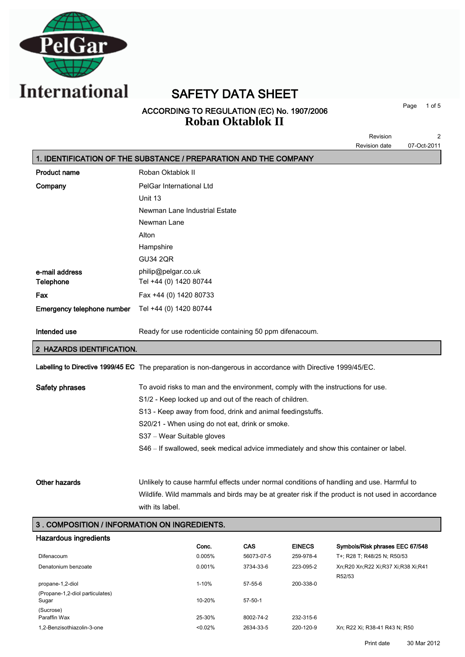

SAFETY DATA SHEET

### ACCORDING TO REGULATION (EC) No. 1907/2006 **Roban Oktablok II**

Page 1 of 5

|                                               | 2<br>Revision                                                                                               |
|-----------------------------------------------|-------------------------------------------------------------------------------------------------------------|
|                                               | <b>Revision date</b><br>07-Oct-2011                                                                         |
|                                               | 1. IDENTIFICATION OF THE SUBSTANCE / PREPARATION AND THE COMPANY                                            |
| <b>Product name</b>                           | Roban Oktablok II                                                                                           |
| Company                                       | PelGar International Ltd                                                                                    |
|                                               | Unit 13                                                                                                     |
|                                               | Newman Lane Industrial Estate                                                                               |
|                                               | Newman Lane                                                                                                 |
|                                               | Alton                                                                                                       |
|                                               | Hampshire                                                                                                   |
|                                               | <b>GU34 2QR</b>                                                                                             |
| e-mail address                                | philip@pelgar.co.uk                                                                                         |
| Telephone                                     | Tel +44 (0) 1420 80744                                                                                      |
| Fax                                           | Fax +44 (0) 1420 80733                                                                                      |
| Emergency telephone number                    | Tel +44 (0) 1420 80744                                                                                      |
| Intended use                                  | Ready for use rodenticide containing 50 ppm difenacoum.                                                     |
| <b>HAZARDS IDENTIFICATION.</b>                |                                                                                                             |
|                                               | Labelling to Directive 1999/45 EC The preparation is non-dangerous in accordance with Directive 1999/45/EC. |
| Safety phrases                                | To avoid risks to man and the environment, comply with the instructions for use.                            |
|                                               | S1/2 - Keep locked up and out of the reach of children.                                                     |
|                                               | S13 - Keep away from food, drink and animal feedingstuffs.                                                  |
|                                               | S20/21 - When using do not eat, drink or smoke.                                                             |
|                                               | S37 - Wear Suitable gloves                                                                                  |
|                                               | S46 - If swallowed, seek medical advice immediately and show this container or label.                       |
| Other hazards                                 | Unlikely to cause harmful effects under normal conditions of handling and use. Harmful to                   |
|                                               | Wildlife. Wild mammals and birds may be at greater risk if the product is not used in accordance            |
|                                               | with its label.                                                                                             |
| 3 . COMPOSITION / INFORMATION ON INGREDIENTS. |                                                                                                             |

| Hazardous ingredients           |            |               |               |                                    |
|---------------------------------|------------|---------------|---------------|------------------------------------|
|                                 | Conc.      | CAS           | <b>EINECS</b> | Symbols/Risk phrases EEC 67/548    |
| Difenacoum                      | 0.005%     | 56073-07-5    | 259-978-4     | T+; R28 T; R48/25 N; R50/53        |
| Denatonium benzoate             | 0.001%     | 3734-33-6     | 223-095-2     | Xn;R20 Xn;R22 Xi;R37 Xi;R38 Xi;R41 |
|                                 |            |               |               | R52/53                             |
| propane-1,2-diol                | $1 - 10%$  | $57-55-6$     | 200-338-0     |                                    |
| (Propane-1.2-diol particulates) |            |               |               |                                    |
| Sugar                           | $10 - 20%$ | $57 - 50 - 1$ |               |                                    |
| (Sucrose)                       |            |               |               |                                    |
| Paraffin Wax                    | 25-30%     | 8002-74-2     | 232-315-6     |                                    |
| 1,2-Benzisothiazolin-3-one      | < 0.02%    | 2634-33-5     | 220-120-9     | Xn: R22 Xi: R38-41 R43 N: R50      |
|                                 |            |               |               |                                    |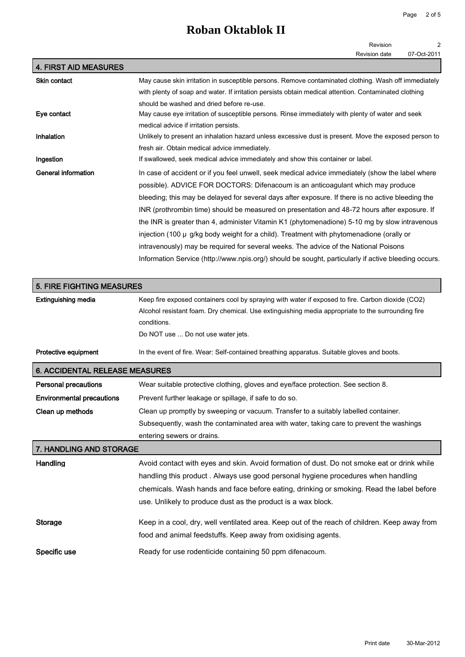# **Roban Oktablok II**

|                                       | Revision<br>2                                                                                         |
|---------------------------------------|-------------------------------------------------------------------------------------------------------|
|                                       | Revision date<br>07-Oct-2011                                                                          |
| <b>4. FIRST AID MEASURES</b>          |                                                                                                       |
| <b>Skin contact</b>                   | May cause skin irritation in susceptible persons. Remove contaminated clothing. Wash off immediately  |
|                                       | with plenty of soap and water. If irritation persists obtain medical attention. Contaminated clothing |
|                                       | should be washed and dried before re-use.                                                             |
| Eye contact                           | May cause eye irritation of susceptible persons. Rinse immediately with plenty of water and seek      |
|                                       | medical advice if irritation persists.                                                                |
| Inhalation                            | Unlikely to present an inhalation hazard unless excessive dust is present. Move the exposed person to |
|                                       | fresh air. Obtain medical advice immediately.                                                         |
| Ingestion                             | If swallowed, seek medical advice immediately and show this container or label.                       |
| <b>General information</b>            | In case of accident or if you feel unwell, seek medical advice immediately (show the label where      |
|                                       | possible). ADVICE FOR DOCTORS: Difenacoum is an anticoagulant which may produce                       |
|                                       | bleeding; this may be delayed for several days after exposure. If there is no active bleeding the     |
|                                       | INR (prothrombin time) should be measured on presentation and 48-72 hours after exposure. If          |
|                                       | the INR is greater than 4, administer Vitamin K1 (phytomenadione) 5-10 mg by slow intravenous         |
|                                       | injection (100 $\mu$ g/kg body weight for a child). Treatment with phytomenadione (orally or          |
|                                       | intravenously) may be required for several weeks. The advice of the National Poisons                  |
|                                       | Information Service (http://www.npis.org/) should be sought, particularly if active bleeding occurs.  |
|                                       |                                                                                                       |
| 5. FIRE FIGHTING MEASURES             |                                                                                                       |
| <b>Extinguishing media</b>            | Keep fire exposed containers cool by spraying with water if exposed to fire. Carbon dioxide (CO2)     |
|                                       | Alcohol resistant foam. Dry chemical. Use extinguishing media appropriate to the surrounding fire     |
|                                       | conditions.                                                                                           |
|                                       | Do NOT use  Do not use water jets.                                                                    |
|                                       |                                                                                                       |
| Protective equipment                  | In the event of fire. Wear: Self-contained breathing apparatus. Suitable gloves and boots.            |
| <b>6. ACCIDENTAL RELEASE MEASURES</b> |                                                                                                       |
| <b>Personal precautions</b>           | Wear suitable protective clothing, gloves and eye/face protection. See section 8.                     |
| <b>Environmental precautions</b>      | Prevent further leakage or spillage, if safe to do so.                                                |
| Clean up methods                      | Clean up promptly by sweeping or vacuum. Transfer to a suitably labelled container.                   |
|                                       | Subsequently, wash the contaminated area with water, taking care to prevent the washings              |
|                                       | entering sewers or drains.                                                                            |
| 7. HANDLING AND STORAGE               |                                                                                                       |
| Handling                              | Avoid contact with eyes and skin. Avoid formation of dust. Do not smoke eat or drink while            |
|                                       | handling this product. Always use good personal hygiene procedures when handling                      |
|                                       |                                                                                                       |
|                                       | chemicals. Wash hands and face before eating, drinking or smoking. Read the label before              |
|                                       | use. Unlikely to produce dust as the product is a wax block.                                          |
| <b>Storage</b>                        | Keep in a cool, dry, well ventilated area. Keep out of the reach of children. Keep away from          |
|                                       | food and animal feedstuffs. Keep away from oxidising agents.                                          |
|                                       |                                                                                                       |

Specific use **Ready for use rodenticide containing 50 ppm difenacoum.**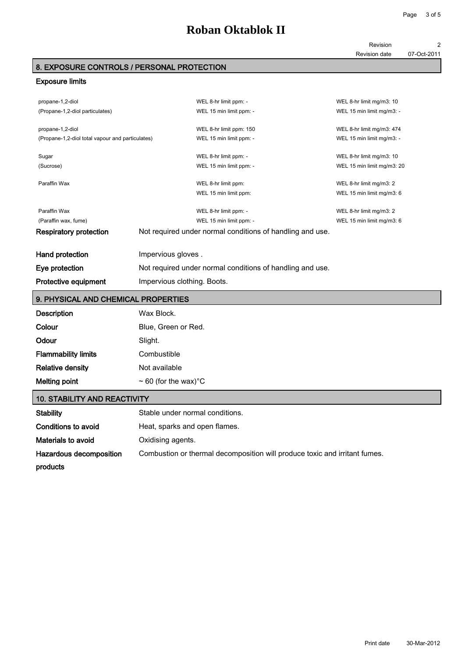#### Revision date 07-Oct-2011

#### 8. EXPOSURE CONTROLS / PERSONAL PROTECTION

#### Exposure limits

| propane-1,2-diol<br>(Propane-1,2-diol particulates)                  |                                                           | WEL 8-hr limit ppm: -<br>WEL 15 min limit ppm: -                                                              | WEL 8-hr limit mg/m3: 10<br>WEL 15 min limit mg/m3: -  |
|----------------------------------------------------------------------|-----------------------------------------------------------|---------------------------------------------------------------------------------------------------------------|--------------------------------------------------------|
| propane-1,2-diol<br>(Propane-1,2-diol total vapour and particulates) |                                                           | WEL 8-hr limit ppm: 150<br>WEL 15 min limit ppm: -                                                            | WEL 8-hr limit mg/m3: 474<br>WEL 15 min limit mg/m3: - |
| Sugar<br>(Sucrose)                                                   |                                                           | WEL 8-hr limit ppm: -<br>WEL 15 min limit ppm: -                                                              | WEL 8-hr limit mg/m3: 10<br>WEL 15 min limit mg/m3: 20 |
| Paraffin Wax                                                         |                                                           | WEL 8-hr limit ppm:<br>WEL 15 min limit ppm:                                                                  | WEL 8-hr limit mg/m3: 2<br>WEL 15 min limit mg/m3: 6   |
| Paraffin Wax<br>(Paraffin wax, fume)<br>Respiratory protection       |                                                           | WEL 8-hr limit ppm: -<br>WEL 15 min limit ppm: -<br>Not required under normal conditions of handling and use. | WEL 8-hr limit mg/m3: 2<br>WEL 15 min limit mg/m3: 6   |
| Hand protection                                                      | Impervious gloves.                                        |                                                                                                               |                                                        |
| Eye protection                                                       | Not required under normal conditions of handling and use. |                                                                                                               |                                                        |
| <b>Protective equipment</b>                                          | Impervious clothing. Boots.                               |                                                                                                               |                                                        |

### 9. PHYSICAL AND CHEMICAL PROPERTIES

| <b>Description</b>         | Wax Block.                             |
|----------------------------|----------------------------------------|
| Colour                     | Blue, Green or Red.                    |
| Odour                      | Slight.                                |
| <b>Flammability limits</b> | Combustible                            |
| <b>Relative density</b>    | Not available                          |
| <b>Melting point</b>       | $\sim$ 60 (for the wax) <sup>°</sup> C |

#### 10. STABILITY AND REACTIVITY

| <b>Stability</b>        | Stable under normal conditions.                                            |
|-------------------------|----------------------------------------------------------------------------|
| Conditions to avoid     | Heat, sparks and open flames.                                              |
| Materials to avoid      | Oxidising agents.                                                          |
| Hazardous decomposition | Combustion or thermal decomposition will produce toxic and irritant fumes. |
| products                |                                                                            |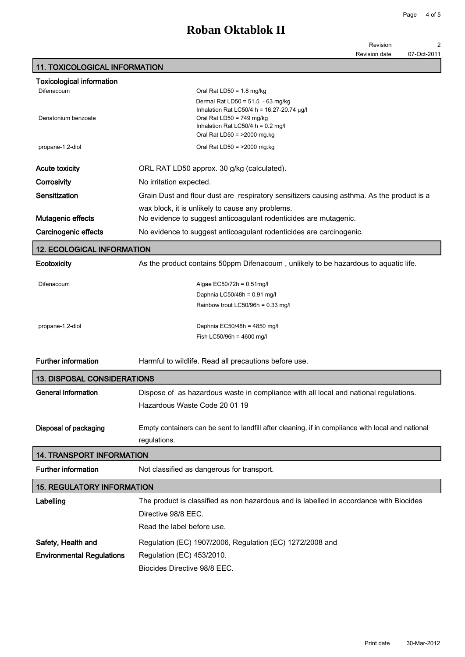Revision 2

Revision date 07-Oct-2011

### 11. TOXICOLOGICAL INFORMATION

| <b>Toxicological information</b>   |                                                                                                   |
|------------------------------------|---------------------------------------------------------------------------------------------------|
| Difenacoum                         | Oral Rat LD50 = $1.8 \text{ mg/kg}$                                                               |
|                                    | Dermal Rat LD50 = $51.5 - 63$ mg/kg<br>Inhalation Rat LC50/4 h = 16.27-20.74 $\mu$ g/l            |
| Denatonium benzoate                | Oral Rat LD50 = $749$ mg/kg                                                                       |
|                                    | Inhalation Rat LC50/4 h = $0.2$ mg/l                                                              |
|                                    | Oral Rat LD50 = $>2000$ mg.kg                                                                     |
| propane-1,2-diol                   | Oral Rat LD50 = $>2000$ mg.kg                                                                     |
| <b>Acute toxicity</b>              | ORL RAT LD50 approx. 30 g/kg (calculated).                                                        |
| Corrosivity                        | No irritation expected.                                                                           |
| Sensitization                      | Grain Dust and flour dust are respiratory sensitizers causing asthma. As the product is a         |
|                                    | wax block, it is unlikely to cause any problems.                                                  |
| Mutagenic effects                  | No evidence to suggest anticoagulant rodenticides are mutagenic.                                  |
| Carcinogenic effects               | No evidence to suggest anticoagulant rodenticides are carcinogenic.                               |
| <b>12. ECOLOGICAL INFORMATION</b>  |                                                                                                   |
| Ecotoxicity                        | As the product contains 50ppm Difenacoum, unlikely to be hazardous to aquatic life.               |
|                                    |                                                                                                   |
| Difenacoum                         | Algae EC50/72h = $0.51$ mg/l                                                                      |
|                                    | Daphnia LC50/48h = 0.91 mg/l<br>Rainbow trout LC50/96h = 0.33 mg/l                                |
|                                    |                                                                                                   |
| propane-1,2-diol                   | Daphnia EC50/48h = $4850$ mg/l                                                                    |
|                                    | Fish LC50/96h = $4600$ mg/l                                                                       |
| <b>Further information</b>         | Harmful to wildlife. Read all precautions before use.                                             |
|                                    |                                                                                                   |
| <b>13. DISPOSAL CONSIDERATIONS</b> |                                                                                                   |
| <b>General information</b>         | Dispose of as hazardous waste in compliance with all local and national regulations.              |
|                                    | Hazardous Waste Code 20 01 19                                                                     |
| Disposal of packaging              | Empty containers can be sent to landfill after cleaning, if in compliance with local and national |
|                                    | regulations.                                                                                      |
| <b>14. TRANSPORT INFORMATION</b>   |                                                                                                   |
| <b>Further information</b>         | Not classified as dangerous for transport.                                                        |
| <b>15. REGULATORY INFORMATION</b>  |                                                                                                   |
| Labelling                          | The product is classified as non hazardous and is labelled in accordance with Biocides            |
|                                    | Directive 98/8 EEC.                                                                               |
|                                    | Read the label before use.                                                                        |
|                                    |                                                                                                   |
| Safety, Health and                 | Regulation (EC) 1907/2006, Regulation (EC) 1272/2008 and                                          |
| <b>Environmental Regulations</b>   | Regulation (EC) 453/2010.                                                                         |
|                                    | Biocides Directive 98/8 EEC.                                                                      |
|                                    |                                                                                                   |